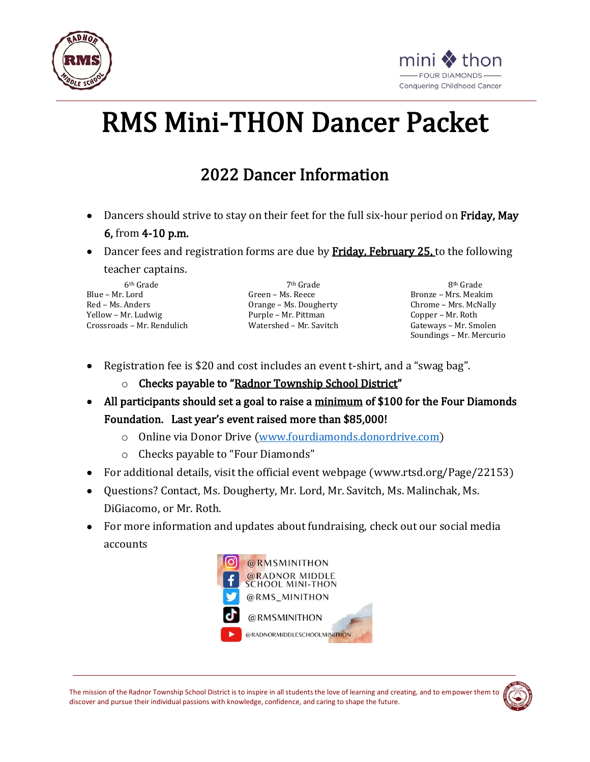



# RMS Mini-THON Dancer Packet

## 2022 Dancer Information

- Dancers should strive to stay on their feet for the full six-hour period on Friday, May 6, from 4-10 p.m.
- Dancer fees and registration forms are due by Friday, February 25, to the following

teacher captains.

6th Grade Blue – Mr. Lord Red – Ms. Anders Yellow – Mr. Ludwig Crossroads – Mr. Rendulich

7th Grade Green – Ms. Reece Orange – Ms. Dougherty Purple – Mr. Pittman Watershed – Mr. Savitch

8th Grade Bronze – Mrs. Meakim Chrome – Mrs. McNally Copper – Mr. Roth Gateways – Mr. Smolen Soundings – Mr. Mercurio

- Registration fee is \$20 and cost includes an event t-shirt, and a "swag bag".
	- o Checks payable to "Radnor Township School District"
- All participants should set a goal to raise a minimum of \$100 for the Four Diamonds Foundation. Last year's event raised more than \$85,000!
	- o Online via Donor Drive [\(www.fourdiamonds.donordrive.com\)](http://www.fourdiamonds.donordrive.com/)
	- o Checks payable to "Four Diamonds"
- For additional details, visit the official event webpage (www.rtsd.org/Page/22153)
- Questions? Contact, Ms. Dougherty, Mr. Lord, Mr. Savitch, Ms. Malinchak, Ms. DiGiacomo, or Mr. Roth.
- For more information and updates about fundraising, check out our social media accounts

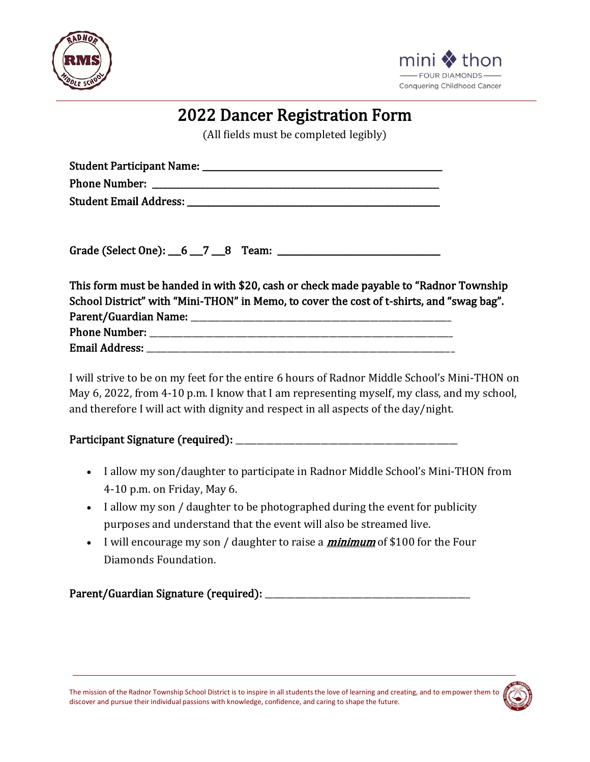



### 2022 Dancer Registration Form

(All fields must be completed legibly)

| <b>Student Participant Name:</b> |  |
|----------------------------------|--|
| <b>Phone Number:</b>             |  |
| <b>Student Email Address:</b>    |  |

Grade (Select One):  $6 - 7 - 8$  Team:  $7 - 2$  Team:

This form must be handed in with \$20, cash or check made payable to "Radnor Township School District" with "Mini-THON" in Memo, to cover the cost of t-shirts, and "swag bag". Parent/Guardian Name: **Example 2018** Phone Number:  $\blacksquare$ Email Address: \_\_\_\_\_\_\_\_\_\_\_\_\_\_\_\_\_\_\_\_\_\_\_\_\_\_\_\_\_\_\_\_\_\_\_\_\_\_\_\_\_\_\_\_\_\_\_\_\_\_\_\_\_\_\_\_\_\_\_\_\_\_\_\_\_\_\_\_\_\_\_\_

I will strive to be on my feet for the entire 6 hours of Radnor Middle School's Mini-THON on May 6, 2022, from 4-10 p.m. I know that I am representing myself, my class, and my school, and therefore I will act with dignity and respect in all aspects of the day/night.

#### Participant Signature (required): \_\_\_\_\_\_\_\_\_\_\_\_\_\_\_\_\_\_\_\_\_\_\_\_\_\_\_\_\_\_\_\_\_\_\_\_\_\_\_\_\_\_\_\_\_\_\_\_\_\_\_\_

- I allow my son/daughter to participate in Radnor Middle School's Mini-THON from 4-10 p.m. on Friday, May 6.
- I allow my son / daughter to be photographed during the event for publicity purposes and understand that the event will also be streamed live.
- I will encourage my son / daughter to raise a  $minimum$  of \$100 for the Four Diamonds Foundation.

Parent/Guardian Signature (required): \_\_\_\_\_\_\_\_\_\_\_\_\_\_\_\_\_\_\_\_\_\_\_\_\_\_\_\_\_\_\_\_\_\_\_\_\_\_\_\_\_\_\_\_\_\_\_\_